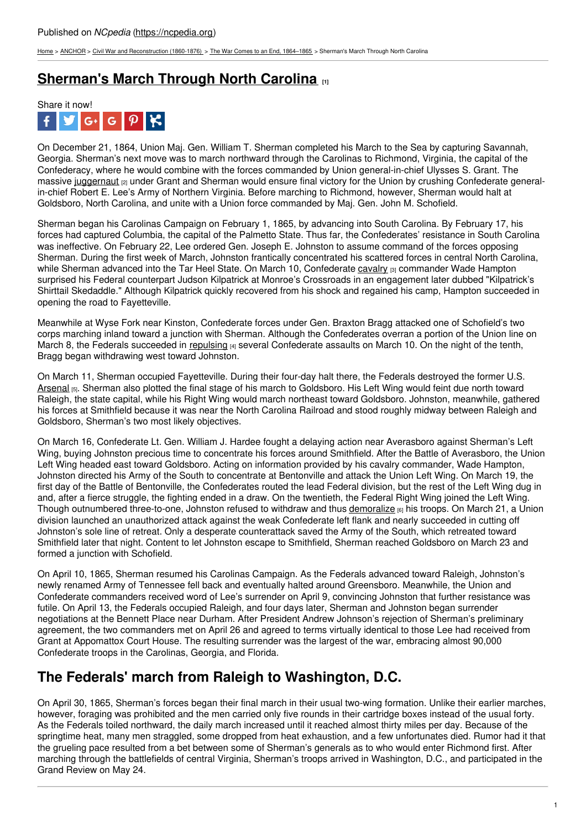[Home](https://ncpedia.org/) > [ANCHOR](https://ncpedia.org/anchor/anchor) > Civil War and [Reconstruction](https://ncpedia.org/anchor/civil-war-and-reconstruction) (1860-1876) > The War Comes to an End, [1864–1865](https://ncpedia.org/anchor/war-comes-end-1864%E2%80%931865) > Sherman's March Through North Carolina

## **[Sherman's](https://ncpedia.org/anchor/shermans-march-through-north) March Through North Carolina [1]**



On December 21, 1864, Union Maj. Gen. William T. Sherman completed his March to the Sea by capturing Savannah, Georgia. Sherman's next move was to march northward through the Carolinas to Richmond, Virginia, the capital of the Confederacy, where he would combine with the forces commanded by Union general-in-chief Ulysses S. Grant. The massive [juggernaut](https://ncpedia.org/glossary/juggernaut) [2] under Grant and Sherman would ensure final victory for the Union by crushing Confederate generalin-chief Robert E. Lee's Army of Northern Virginia. Before marching to Richmond, however, Sherman would halt at Goldsboro, North Carolina, and unite with a Union force commanded by Maj. Gen. John M. Schofield.

Sherman began his Carolinas Campaign on February 1, 1865, by advancing into South Carolina. By February 17, his forces had captured Columbia, the capital of the Palmetto State. Thus far, the Confederates' resistance in South Carolina was ineffective. On February 22, Lee ordered Gen. Joseph E. Johnston to assume command of the forces opposing Sherman. During the first week of March, [Johnston](http://www.social9.com) frantically concentrated his scattered forces in central North Carolina, while Sherman advanced into the Tar Heel State. On March 10, Confederate [cavalry](https://ncpedia.org/glossary/cavalry) [3] commander Wade Hampton surprised his Federal counterpart Judson Kilpatrick at Monroe's Crossroads in an engagement later dubbed "Kilpatrick's Shirttail Skedaddle." Although Kilpatrick quickly recovered from his shock and regained his camp, Hampton succeeded in opening the road to Fayetteville.

Meanwhile at Wyse Fork near Kinston, Confederate forces under Gen. Braxton Bragg attacked one of Schofield's two corps marching inland toward a junction with Sherman. Although the Confederates overran a portion of the Union line on March 8, the Federals succeeded in [repulsing](https://ncpedia.org/glossary/repulse)  $|4|$  several Confederate assaults on March 10. On the night of the tenth, Bragg began withdrawing west toward Johnston.

On March 11, Sherman occupied Fayetteville. During their four-day halt there, the Federals destroyed the former U.S. [Arsenal](https://ncpedia.org/glossary/arsenal) [5]. Sherman also plotted the final stage of his march to Goldsboro. His Left Wing would feint due north toward Raleigh, the state capital, while his Right Wing would march northeast toward Goldsboro. Johnston, meanwhile, gathered his forces at Smithfield because it was near the North Carolina Railroad and stood roughly midway between Raleigh and Goldsboro, Sherman's two most likely objectives.

On March 16, Confederate Lt. Gen. William J. Hardee fought a delaying action near Averasboro against Sherman's Left Wing, buying Johnston precious time to concentrate his forces around Smithfield. After the Battle of Averasboro, the Union Left Wing headed east toward Goldsboro. Acting on information provided by his cavalry commander, Wade Hampton, Johnston directed his Army of the South to concentrate at Bentonville and attack the Union Left Wing. On March 19, the first day of the Battle of Bentonville, the Confederates routed the lead Federal division, but the rest of the Left Wing dug in and, after a fierce struggle, the fighting ended in a draw. On the twentieth, the Federal Right Wing joined the Left Wing. Though outnumbered three-to-one, Johnston refused to withdraw and thus [demoralize](https://ncpedia.org/glossary/demoralize) <sub>[6]</sub> his troops. On March 21, a Union division launched an unauthorized attack against the weak Confederate left flank and nearly succeeded in cutting off Johnston's sole line of retreat. Only a desperate counterattack saved the Army of the South, which retreated toward Smithfield later that night. Content to let Johnston escape to Smithfield, Sherman reached Goldsboro on March 23 and formed a junction with Schofield.

On April 10, 1865, Sherman resumed his Carolinas Campaign. As the Federals advanced toward Raleigh, Johnston's newly renamed Army of Tennessee fell back and eventually halted around Greensboro. Meanwhile, the Union and Confederate commanders received word of Lee's surrender on April 9, convincing Johnston that further resistance was futile. On April 13, the Federals occupied Raleigh, and four days later, Sherman and Johnston began surrender negotiations at the Bennett Place near Durham. After President Andrew Johnson's rejection of Sherman's preliminary agreement, the two commanders met on April 26 and agreed to terms virtually identical to those Lee had received from Grant at Appomattox Court House. The resulting surrender was the largest of the war, embracing almost 90,000 Confederate troops in the Carolinas, Georgia, and Florida.

## **The Federals' march from Raleigh to Washington, D.C.**

On April 30, 1865, Sherman's forces began their final march in their usual two-wing formation. Unlike their earlier marches, however, foraging was prohibited and the men carried only five rounds in their cartridge boxes instead of the usual forty. As the Federals toiled northward, the daily march increased until it reached almost thirty miles per day. Because of the springtime heat, many men straggled, some dropped from heat exhaustion, and a few unfortunates died. Rumor had it that the grueling pace resulted from a bet between some of Sherman's generals as to who would enter Richmond first. After marching through the battlefields of central Virginia, Sherman's troops arrived in Washington, D.C., and participated in the Grand Review on May 24.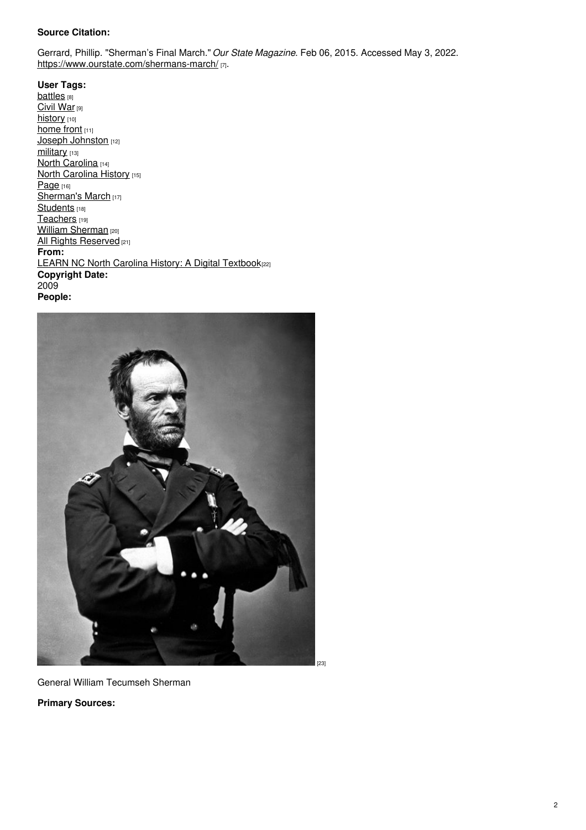## **Source Citation:**

Gerrard, Phillip. "Sherman's Final March." *Our State Magazine*. Feb 06, 2015. Accessed May 3, 2022. <https://www.ourstate.com/shermans-march/> [7].

**User Tags: [battles](https://ncpedia.org/category/user-tags/battles)** [8] [Civil](https://ncpedia.org/category/user-tags/civil-war) War [9] [history](https://ncpedia.org/category/user-tags/history) [10] [home](https://ncpedia.org/category/user-tags/home-front) front [11] Joseph [Johnston](https://ncpedia.org/category/user-tags/joseph-johnston) [12] [military](https://ncpedia.org/category/user-tags/military) [13] North [Carolina](https://ncpedia.org/category/user-tags/north-carolina-5) [14] North [Carolina](https://ncpedia.org/category/user-tags/north-carolina-6) History [15] [Page](https://ncpedia.org/category/user-tags/page) [16] [Sherman's](https://ncpedia.org/category/user-tags/shermans-march) March [17] [Students](https://ncpedia.org/category/user-tags/students) [18] [Teachers](https://ncpedia.org/category/user-tags/teachers) [19] **William [Sherman](https://ncpedia.org/category/user-tags/william-sherman)** [20] All Rights [Reserved](https://ncpedia.org/category/user-tags/all-rights) [21] **From:** LEARN NC North Carolina History: A Digital [Textbook](https://ncpedia.org/category/entry-source/learn-nc)[22] **Copyright Date:** 2009 **People:**



General William Tecumseh Sherman

**Primary Sources:**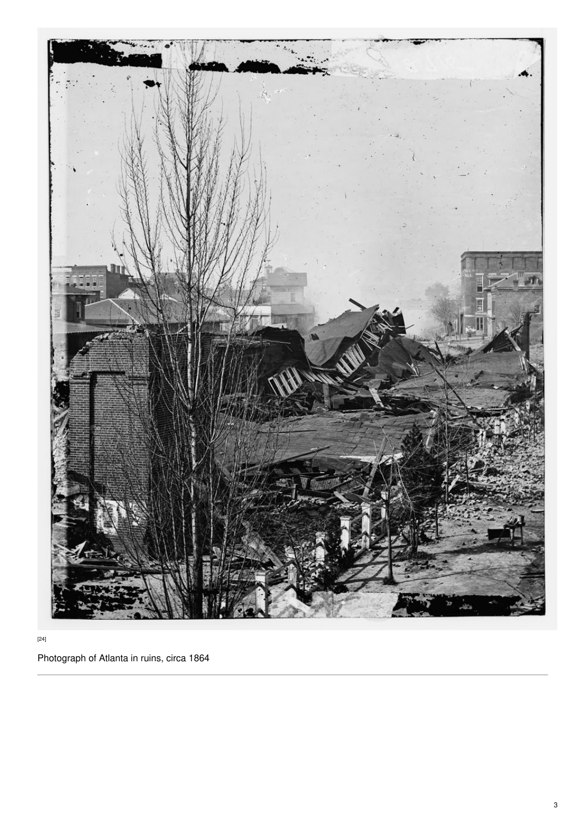

[24]

Photograph of Atlanta in ruins, circa 1864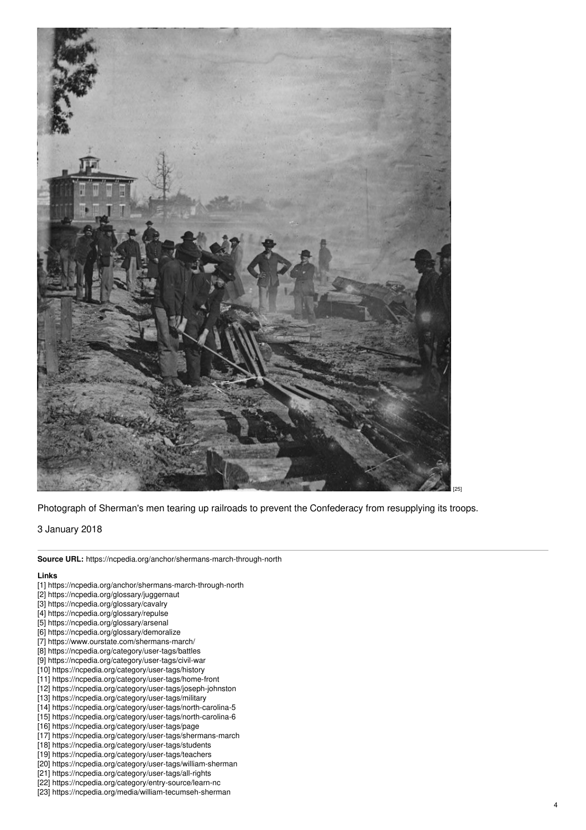

Photograph of Sherman's men tearing up railroads to prevent the Confederacy from resupplying its troops.

3 January 2018

**Source URL:** https://ncpedia.org/anchor/shermans-march-through-north

## **Links**

- [1] https://ncpedia.org/anchor/shermans-march-through-north
- [2] https://ncpedia.org/glossary/juggernaut
- [3] https://ncpedia.org/glossary/cavalry
- [4] https://ncpedia.org/glossary/repulse
- [5] https://ncpedia.org/glossary/arsenal
- [6] https://ncpedia.org/glossary/demoralize
- [7] https://www.ourstate.com/shermans-march/
- [8] https://ncpedia.org/category/user-tags/battles
- [9] https://ncpedia.org/category/user-tags/civil-war
- [10] https://ncpedia.org/category/user-tags/history
- [11] https://ncpedia.org/category/user-tags/home-front
- [12] https://ncpedia.org/category/user-tags/joseph-johnston
- [13] https://ncpedia.org/category/user-tags/military
- [14] https://ncpedia.org/category/user-tags/north-carolina-5
- [15] https://ncpedia.org/category/user-tags/north-carolina-6
- [16] https://ncpedia.org/category/user-tags/page
- [17] https://ncpedia.org/category/user-tags/shermans-march
- [18] https://ncpedia.org/category/user-tags/students
- [19] https://ncpedia.org/category/user-tags/teachers
- [20] https://ncpedia.org/category/user-tags/william-sherman
- [21] https://ncpedia.org/category/user-tags/all-rights
- [22] https://ncpedia.org/category/entry-source/learn-nc [23] https://ncpedia.org/media/william-tecumseh-sherman

4